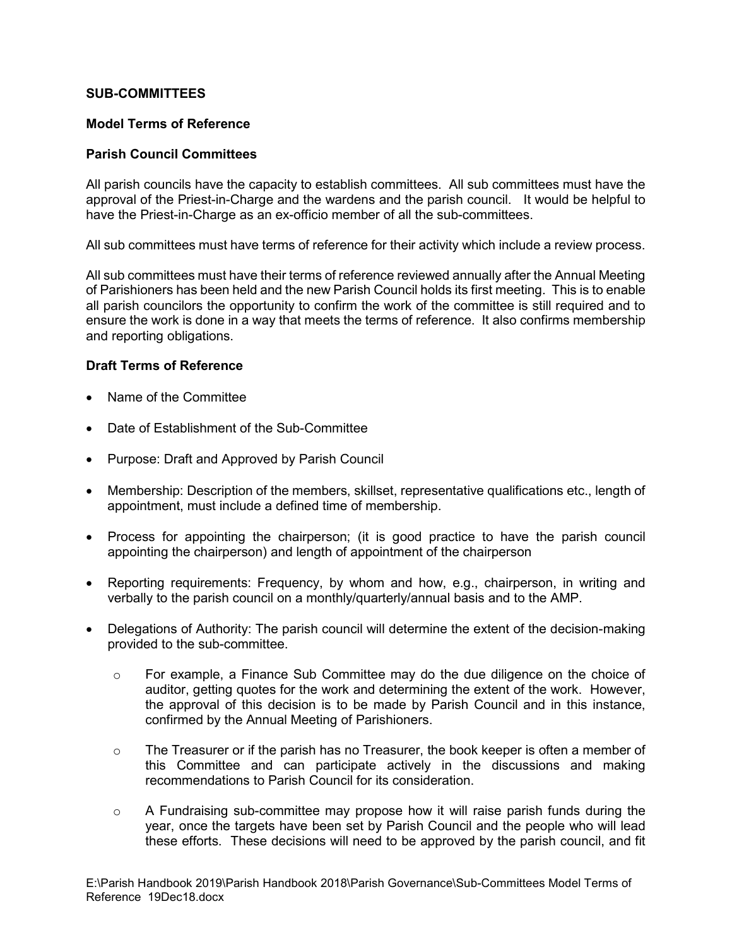#### **SUB-COMMITTEES**

#### **Model Terms of Reference**

#### **Parish Council Committees**

All parish councils have the capacity to establish committees. All sub committees must have the approval of the Priest-in-Charge and the wardens and the parish council. It would be helpful to have the Priest-in-Charge as an ex-officio member of all the sub-committees.

All sub committees must have terms of reference for their activity which include a review process.

All sub committees must have their terms of reference reviewed annually after the Annual Meeting of Parishioners has been held and the new Parish Council holds its first meeting. This is to enable all parish councilors the opportunity to confirm the work of the committee is still required and to ensure the work is done in a way that meets the terms of reference. It also confirms membership and reporting obligations.

#### **Draft Terms of Reference**

- Name of the Committee
- Date of Establishment of the Sub-Committee
- Purpose: Draft and Approved by Parish Council
- Membership: Description of the members, skillset, representative qualifications etc., length of appointment, must include a defined time of membership.
- Process for appointing the chairperson; (it is good practice to have the parish council appointing the chairperson) and length of appointment of the chairperson
- Reporting requirements: Frequency, by whom and how, e.g., chairperson, in writing and verbally to the parish council on a monthly/quarterly/annual basis and to the AMP.
- Delegations of Authority: The parish council will determine the extent of the decision-making provided to the sub-committee.
	- $\circ$  For example, a Finance Sub Committee may do the due diligence on the choice of auditor, getting quotes for the work and determining the extent of the work. However, the approval of this decision is to be made by Parish Council and in this instance, confirmed by the Annual Meeting of Parishioners.
	- o The Treasurer or if the parish has no Treasurer, the book keeper is often a member of this Committee and can participate actively in the discussions and making recommendations to Parish Council for its consideration.
	- $\circ$  A Fundraising sub-committee may propose how it will raise parish funds during the year, once the targets have been set by Parish Council and the people who will lead these efforts. These decisions will need to be approved by the parish council, and fit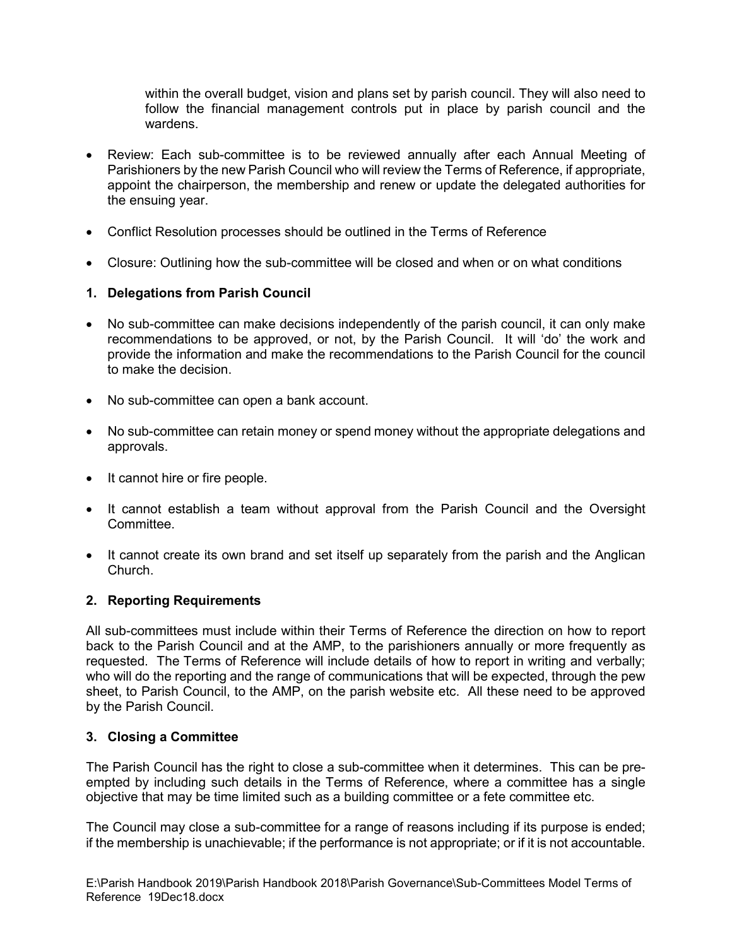within the overall budget, vision and plans set by parish council. They will also need to follow the financial management controls put in place by parish council and the wardens.

- Review: Each sub-committee is to be reviewed annually after each Annual Meeting of Parishioners by the new Parish Council who will review the Terms of Reference, if appropriate, appoint the chairperson, the membership and renew or update the delegated authorities for the ensuing year.
- Conflict Resolution processes should be outlined in the Terms of Reference
- Closure: Outlining how the sub-committee will be closed and when or on what conditions

# **1. Delegations from Parish Council**

- No sub-committee can make decisions independently of the parish council, it can only make recommendations to be approved, or not, by the Parish Council. It will 'do' the work and provide the information and make the recommendations to the Parish Council for the council to make the decision.
- No sub-committee can open a bank account.
- No sub-committee can retain money or spend money without the appropriate delegations and approvals.
- It cannot hire or fire people.
- It cannot establish a team without approval from the Parish Council and the Oversight Committee.
- It cannot create its own brand and set itself up separately from the parish and the Anglican Church.

## **2. Reporting Requirements**

All sub-committees must include within their Terms of Reference the direction on how to report back to the Parish Council and at the AMP, to the parishioners annually or more frequently as requested. The Terms of Reference will include details of how to report in writing and verbally; who will do the reporting and the range of communications that will be expected, through the pew sheet, to Parish Council, to the AMP, on the parish website etc. All these need to be approved by the Parish Council.

## **3. Closing a Committee**

The Parish Council has the right to close a sub-committee when it determines. This can be preempted by including such details in the Terms of Reference, where a committee has a single objective that may be time limited such as a building committee or a fete committee etc.

The Council may close a sub-committee for a range of reasons including if its purpose is ended; if the membership is unachievable; if the performance is not appropriate; or if it is not accountable.